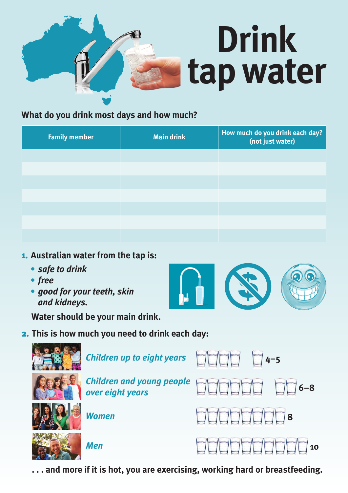# **Drink tapwater**

# **What do you drink most days and how much?**

| <b>Family member</b> | <b>Main drink</b> | How much do you drink each day?<br>(not just water) |
|----------------------|-------------------|-----------------------------------------------------|
|                      |                   |                                                     |
|                      |                   |                                                     |
|                      |                   |                                                     |
|                      |                   |                                                     |
|                      |                   |                                                     |
|                      |                   |                                                     |
|                      |                   |                                                     |

## 1. **Australian water from the tap is:**

- **•***safe to drink*
- **•***good for your teeth, skin and kidneys.*

**Water should be your main drink.**

# 2. **This is how much you need to drink each day:**



 **. . . and more if it is hot, you are exercising, working hard or breastfeeding.**

- **•***free*
	-

- 
-